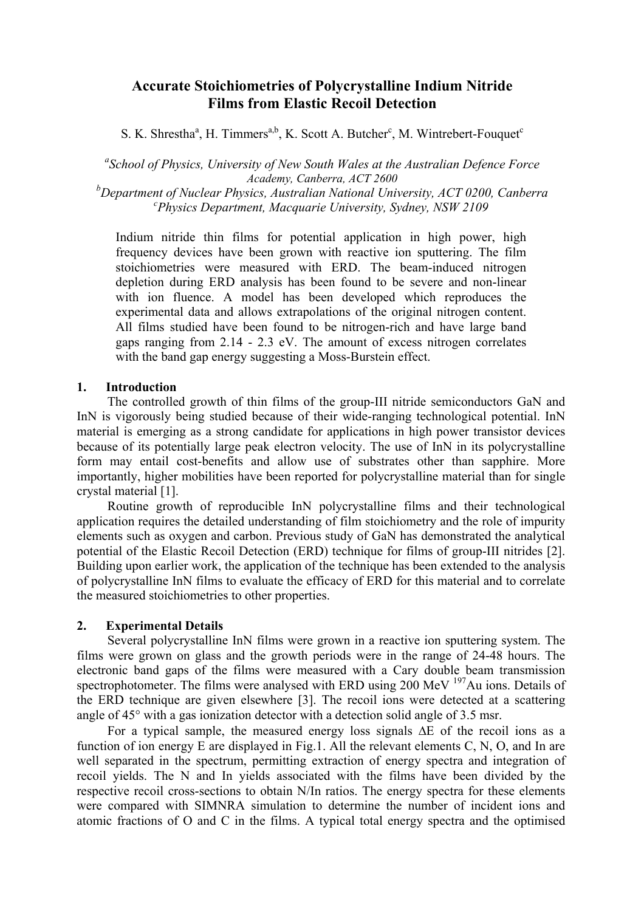# **Accurate Stoichiometries of Polycrystalline Indium Nitride Films from Elastic Recoil Detection**

S. K. Shrestha<sup>a</sup>, H. Timmers<sup>a,b</sup>, K. Scott A. Butcher<sup>c</sup>, M. Wintrebert-Fouquet<sup>c</sup>

*a School of Physics, University of New South Wales at the Australian Defence Force Academy, Canberra, ACT 2600* 

*b Department of Nuclear Physics, Australian National University, ACT 0200, Canberra <sup>c</sup> Physics Department, Macquarie University, Sydney, NSW 2109* 

Indium nitride thin films for potential application in high power, high frequency devices have been grown with reactive ion sputtering. The film stoichiometries were measured with ERD. The beam-induced nitrogen depletion during ERD analysis has been found to be severe and non-linear with ion fluence. A model has been developed which reproduces the experimental data and allows extrapolations of the original nitrogen content. All films studied have been found to be nitrogen-rich and have large band gaps ranging from 2.14 - 2.3 eV. The amount of excess nitrogen correlates with the band gap energy suggesting a Moss-Burstein effect.

## **1. Introduction**

 The controlled growth of thin films of the group-III nitride semiconductors GaN and InN is vigorously being studied because of their wide-ranging technological potential. InN material is emerging as a strong candidate for applications in high power transistor devices because of its potentially large peak electron velocity. The use of InN in its polycrystalline form may entail cost-benefits and allow use of substrates other than sapphire. More importantly, higher mobilities have been reported for polycrystalline material than for single crystal material [1].

 Routine growth of reproducible InN polycrystalline films and their technological application requires the detailed understanding of film stoichiometry and the role of impurity elements such as oxygen and carbon. Previous study of GaN has demonstrated the analytical potential of the Elastic Recoil Detection (ERD) technique for films of group-III nitrides [2]. Building upon earlier work, the application of the technique has been extended to the analysis of polycrystalline InN films to evaluate the efficacy of ERD for this material and to correlate the measured stoichiometries to other properties.

# **2. Experimental Details**

 Several polycrystalline InN films were grown in a reactive ion sputtering system. The films were grown on glass and the growth periods were in the range of 24-48 hours. The electronic band gaps of the films were measured with a Cary double beam transmission spectrophotometer. The films were analysed with ERD using  $200$  MeV  $197$ Au ions. Details of the ERD technique are given elsewhere [3]. The recoil ions were detected at a scattering angle of 45° with a gas ionization detector with a detection solid angle of 3.5 msr.

 For a typical sample, the measured energy loss signals ∆E of the recoil ions as a function of ion energy E are displayed in Fig.1. All the relevant elements C, N, O, and In are well separated in the spectrum, permitting extraction of energy spectra and integration of recoil yields. The N and In yields associated with the films have been divided by the respective recoil cross-sections to obtain N/In ratios. The energy spectra for these elements were compared with SIMNRA simulation to determine the number of incident ions and atomic fractions of O and C in the films. A typical total energy spectra and the optimised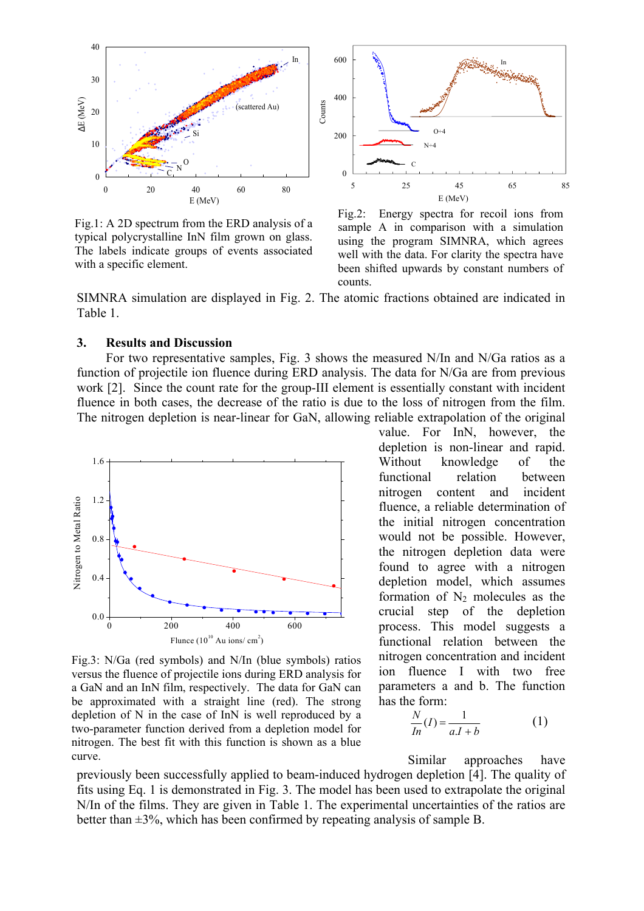

Fig.1: A 2D spectrum from the ERD analysis of a typical polycrystalline InN film grown on glass. The labels indicate groups of events associated with a specific element.



Fig.2: Energy spectra for recoil ions from sample A in comparison with a simulation using the program SIMNRA, which agrees well with the data. For clarity the spectra have been shifted upwards by constant numbers of counts.

SIMNRA simulation are displayed in Fig. 2. The atomic fractions obtained are indicated in Table 1.

#### **3. Results and Discussion**

For two representative samples, Fig. 3 shows the measured N/In and N/Ga ratios as a function of projectile ion fluence during ERD analysis. The data for N/Ga are from previous work [2]. Since the count rate for the group-III element is essentially constant with incident fluence in both cases, the decrease of the ratio is due to the loss of nitrogen from the film. The nitrogen depletion is near-linear for GaN, allowing reliable extrapolation of the original



Fig.3: N/Ga (red symbols) and N/In (blue symbols) ratios versus the fluence of projectile ions during ERD analysis for a GaN and an InN film, respectively. The data for GaN can be approximated with a straight line (red). The strong depletion of N in the case of InN is well reproduced by a two-parameter function derived from a depletion model for nitrogen. The best fit with this function is shown as a blue curve.

value. For InN, however, the depletion is non-linear and rapid. Without knowledge of the functional relation between nitrogen content and incident fluence, a reliable determination of the initial nitrogen concentration would not be possible. However, the nitrogen depletion data were found to agree with a nitrogen depletion model, which assumes formation of  $N_2$  molecules as the crucial step of the depletion process. This model suggests a functional relation between the nitrogen concentration and incident ion fluence I with two free parameters a and b. The function has the form:

$$
\frac{N}{In}(I) = \frac{1}{aI + b} \tag{1}
$$

Similar approaches have previously been successfully applied to beam-induced hydrogen depletion [4]. The quality of fits using Eq. 1 is demonstrated in Fig. 3. The model has been used to extrapolate the original N/In of the films. They are given in Table 1. The experimental uncertainties of the ratios are better than  $\pm 3\%$ , which has been confirmed by repeating analysis of sample B.